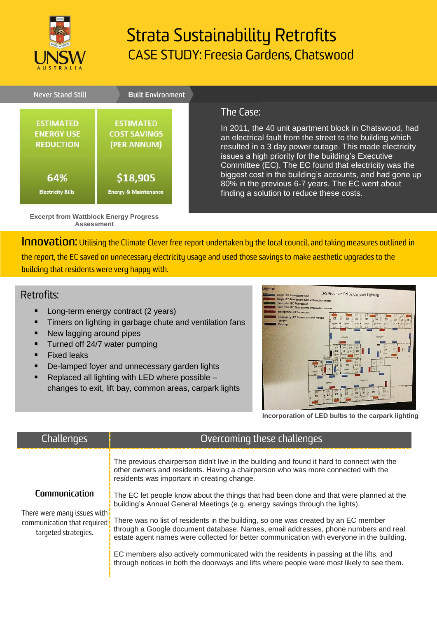

# **Strata Sustainability Retrofits CASE STUDY: Freesia Gardens, Chatswood**



### The Case:

In 2011, the 40 unit apartment block in Chatswood, had an electrical fault from the street to the building which resulted in a 3 day power outage. This made electricity issues a high priority for the building's Executive Committee (EC). The EC found that electricity was the biggest cost in the building's accounts, and had gone up 80% in the previous 6-7 years. The EC went about finding a solution to reduce these costs.

Innovation: Utilising the Climate Clever free report undertaken by the local council, and taking measures outlined in

the report, the EC saved on unnecessary electricity usage and used those savings to make aesthetic upgrades to the building that residents were very happy with.

#### Retrofits:

- Long-term energy contract (2 years)
- Timers on lighting in garbage chute and ventilation fans
- New lagging around pipes
- **Turned off 24/7 water pumping**

**Assessment**

- **Fixed leaks**
- De-lamped foyer and unnecessary garden lights
- Replaced all lighting with LED where possible changes to exit, lift bay, common areas, carpark lights



**Incorporation of LED bulbs to the carpark lighting**

| Challenges                                                                                                                  | Overcoming these challenges                                                                                                                                                                                                                                           |
|-----------------------------------------------------------------------------------------------------------------------------|-----------------------------------------------------------------------------------------------------------------------------------------------------------------------------------------------------------------------------------------------------------------------|
| Communication<br>There were many issues with <mark>i</mark><br>communication that required <b>!</b><br>targeted strategies. | The previous chairperson didn't live in the building and found it hard to connect with the<br>other owners and residents. Having a chairperson who was more connected with the<br>residents was important in creating change.                                         |
|                                                                                                                             | The EC let people know about the things that had been done and that were planned at the<br>building's Annual General Meetings (e.g. energy savings through the lights).                                                                                               |
|                                                                                                                             | There was no list of residents in the building, so one was created by an EC member<br>through a Google document database. Names, email addresses, phone numbers and real<br>estate agent names were collected for better communication with everyone in the building. |
|                                                                                                                             | EC members also actively communicated with the residents in passing at the lifts, and<br>through notices in both the doorways and lifts where people were most likely to see them.                                                                                    |